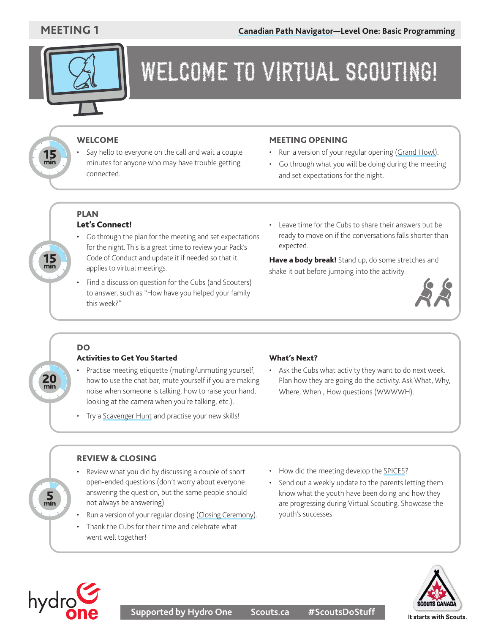

### WELCOME TO VIRTUAL SCOUTING!

#### WELCOME

Say hello to everyone on the call and wait a couple minutes for anyone who may have trouble getting connected.

#### MEETING OPENING

- Run a version of your regular opening ([Grand Howl\)](https://scoutsca.s3.amazonaws.com/2019/01/scouter-manual.pdf#page=81).
- Go through what you will be doing during the meeting and set expectations for the night.

#### PLAN Let's Connect!

- Go through the plan for the meeting and set expectations for the night. This is a great time to review your Pack's Code of Conduct and update it if needed so that it applies to virtual meetings.
- Find a discussion question for the Cubs (and Scouters) to answer, such as "How have you helped your family this week?"
- Leave time for the Cubs to share their answers but be ready to move on if the conversations falls shorter than expected.

Have a body break! Stand up, do some stretches and shake it out before jumping into the activity.



#### DO

 $20$ <sub>min</sub>

 $\frac{5}{2}$ 

 $15 \text{ min}$ 

 $15 \text{ min}$ 

#### Activities to Get You Started

- Practise meeting etiquette (muting/unmuting yourself, how to use the chat bar, mute yourself if you are making noise when someone is talking, how to raise your hand, looking at the camera when you're talking, etc.).
- Try a [Scavenger Hunt](https://www.scouts.ca/resources/activity-finder/activity-finder/on-the-hunt.html) and practise your new skills!

#### What's Next?

• Ask the Cubs what activity they want to do next week. Plan how they are going do the activity. Ask What, Why, Where, When , How questions (WWWWH).

#### REVIEW & CLOSING

- Review what you did by discussing a couple of short open-ended questions (don't worry about everyone answering the question, but the same people should not always be answering).
- Run a version of your regular closing [\(Closing Ceremony\)](https://scoutsca.s3.amazonaws.com/2019/01/scouter-manual.pdf#page=82).
- Thank the Cubs for their time and celebrate what went well together!
- How did the meeting develop the [SPICES](https://www.scouts.ca/programs/canadian-path/about/the-four-elements.html)?
- Send out a weekly update to the parents letting them know what the youth have been doing and how they are progressing during Virtual Scouting. Showcase the youth's successes.



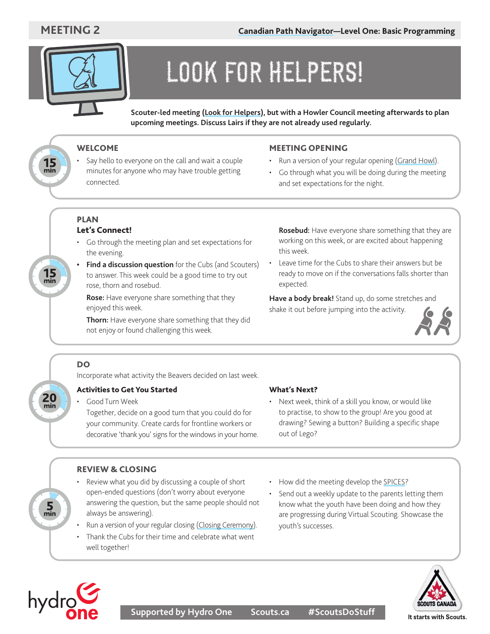$15$ <sub>min</sub>

 $15 \text{ m}$ 



# LOOK FOR HELPERS!

**Scouter-led meeting ([Look for Helpers\)](https://www.scouts.ca/programs/scouting-at-home/look-for-helpers.html), but with a Howler Council meeting afterwards to plan upcoming meetings. Discuss Lairs if they are not already used regularly.**

#### WELCOME

Say hello to everyone on the call and wait a couple minutes for anyone who may have trouble getting connected.

#### MEETING OPENING

- Run a version of your regular opening ([Grand Howl\)](https://scoutsca.s3.amazonaws.com/2019/01/scouter-manual.pdf#page=81).
- Go through what you will be doing during the meeting and set expectations for the night.

#### PLAN Let's Connect!

- Go through the meeting plan and set expectations for the evening.
- **• Find a discussion question** for the Cubs (and Scouters) to answer. This week could be a good time to try out rose, thorn and rosebud.

**Rose:** Have everyone share something that they enjoyed this week.

**Thorn:** Have everyone share something that they did not enjoy or found challenging this week.

**Rosebud:** Have everyone share something that they are working on this week, or are excited about happening this week.

Leave time for the Cubs to share their answers but be ready to move on if the conversations falls shorter than expected.

**Have a body break!** Stand up, do some stretches and shake it out before jumping into the activity.



#### DO

 $20$ <sub>min</sub>

 $\frac{5}{2}$ 

Incorporate what activity the Beavers decided on last week.

#### Activities to Get You Started

#### Good Turn Week

Together, decide on a good turn that you could do for your community. Create cards for frontline workers or decorative 'thank you' signs for the windows in your home.

- REVIEW & CLOSING
- Review what you did by discussing a couple of short open-ended questions (don't worry about everyone answering the question, but the same people should not always be answering).
- Run a version of your regular closing [\(Closing Ceremony\)](https://scoutsca.s3.amazonaws.com/2019/01/scouter-manual.pdf#page=82).
- Thank the Cubs for their time and celebrate what went well together!
- What's Next?
- Next week, think of a skill you know, or would like to practise, to show to the group! Are you good at drawing? Sewing a button? Building a specific shape out of Lego?
- How did the meeting develop the [SPICES](https://www.scouts.ca/programs/canadian-path/about/the-four-elements.html)?
- Send out a weekly update to the parents letting them know what the youth have been doing and how they are progressing during Virtual Scouting. Showcase the youth's successes.



hydrg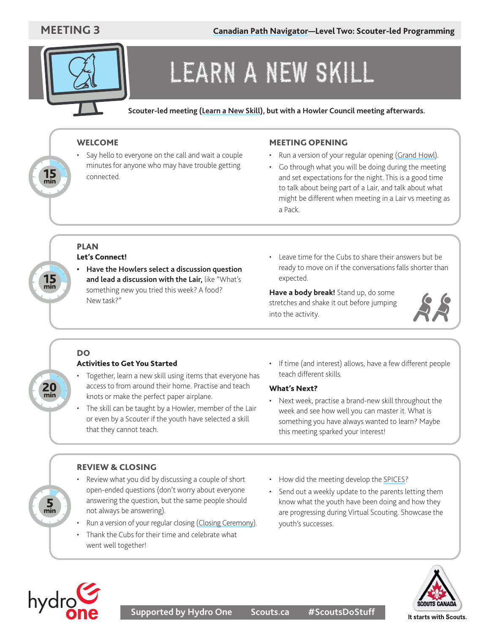

### LEARN A NEW SKILL

**Scouter-led meeting [\(Learn a New Skill](https://www.scouts.ca/programs/scouting-at-home/learn-or-teach-a-new-skill.html)), but with a Howler Council meeting afterwards.**

#### WELCOME

Say hello to everyone on the call and wait a couple minutes for anyone who may have trouble getting connected.

#### MEETING OPENING

- Run a version of your regular opening ([Grand Howl\)](https://scoutsca.s3.amazonaws.com/2019/01/scouter-manual.pdf#page=81).
- Go through what you will be doing during the meeting and set expectations for the night. This is a good time to talk about being part of a Lair, and talk about what might be different when meeting in a Lair vs meeting as a Pack.

#### PLAN Let's Connect!

- **• Have the Howlers select a discussion question and lead a discussion with the Lair,** like "What's something new you tried this week? A food? New task?"
- Leave time for the Cubs to share their answers but be ready to move on if the conversations falls shorter than expected.

**Have a body break!** Stand up, do some stretches and shake it out before jumping into the activity.



### DO

 $20$ <sub>min</sub>

 $\frac{5}{2}$ 

 $15$ <sub>min</sub>

**15**<br>min

#### Activities to Get You Started

- Together, learn a new skill using items that everyone has access to from around their home. Practise and teach knots or make the perfect paper airplane.
- The skill can be taught by a Howler, member of the Lair or even by a Scouter if the youth have selected a skill that they cannot teach.
- If time (and interest) allows, have a few different people teach different skills.

#### What's Next?

• Next week, practise a brand-new skill throughout the week and see how well you can master it. What is something you have always wanted to learn? Maybe this meeting sparked your interest!

#### REVIEW & CLOSING

- Review what you did by discussing a couple of short open-ended questions (don't worry about everyone answering the question, but the same people should not always be answering).
- Run a version of your regular closing [\(Closing Ceremony\)](https://scoutsca.s3.amazonaws.com/2019/01/scouter-manual.pdf#page=82).
- Thank the Cubs for their time and celebrate what went well together!
- How did the meeting develop the [SPICES](https://www.scouts.ca/programs/canadian-path/about/the-four-elements.html)?
- Send out a weekly update to the parents letting them know what the youth have been doing and how they are progressing during Virtual Scouting. Showcase the youth's successes.



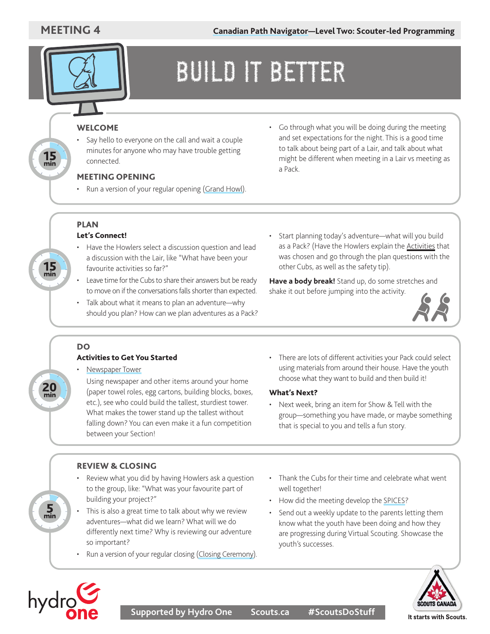$15 \text{ min}$ 

 $\frac{15}{\text{min}}$ 



## BUILD IT BETTER

#### WELCOME

Say hello to everyone on the call and wait a couple minutes for anyone who may have trouble getting connected.

#### MEETING OPENING

- Run a version of your regular opening [\(Grand Howl](https://scoutsca.s3.amazonaws.com/2019/01/scouter-manual.pdf#page=81)).
- Go through what you will be doing during the meeting and set expectations for the night. This is a good time to talk about being part of a Lair, and talk about what might be different when meeting in a Lair vs meeting as a Pack.

#### PLAN Let's Connect!

- Have the Howlers select a discussion question and lead a discussion with the Lair, like "What have been your favourite activities so far?"
- Leave time for the Cubs to share their answers but be ready to move on if the conversations falls shorter than expected.
- Talk about what it means to plan an adventure—why should you plan? How can we plan adventures as a Pack?
- Start planning today's adventure—what will you build as a Pack? (Have the Howlers explain the [Activities](https://www.scouts.ca/resources/activity-finder.html) that was chosen and go through the plan questions with the other Cubs, as well as the safety tip).

**Have a body break!** Stand up, do some stretches and shake it out before jumping into the activity.



#### DO

 $20$ <sub>min</sub>

 $\frac{5}{2}$ 

#### Activities to Get You Started

• [Newspaper Tower](https://www.scouts.ca/resources/activity-finder/newspaper-towers.html)

Using newspaper and other items around your home (paper towel roles, egg cartons, building blocks, boxes, etc.), see who could build the tallest, sturdiest tower. What makes the tower stand up the tallest without falling down? You can even make it a fun competition between your Section!

• There are lots of different activities your Pack could select using materials from around their house. Have the youth choose what they want to build and then build it!

#### What's Next?

Next week, bring an item for Show & Tell with the group—something you have made, or maybe something that is special to you and tells a fun story.

#### REVIEW & CLOSING

- Review what you did by having Howlers ask a question to the group, like: "What was your favourite part of building your project?"
- This is also a great time to talk about why we review adventures—what did we learn? What will we do differently next time? Why is reviewing our adventure so important?
- Run a version of your regular closing [\(Closing Ceremony\)](https://scoutsca.s3.amazonaws.com/2019/01/scouter-manual.pdf#page=82).
- Thank the Cubs for their time and celebrate what went well together!
- How did the meeting develop the [SPICES](https://www.scouts.ca/programs/canadian-path/about/the-four-elements.html)?
- Send out a weekly update to the parents letting them know what the youth have been doing and how they are progressing during Virtual Scouting. Showcase the youth's successes.



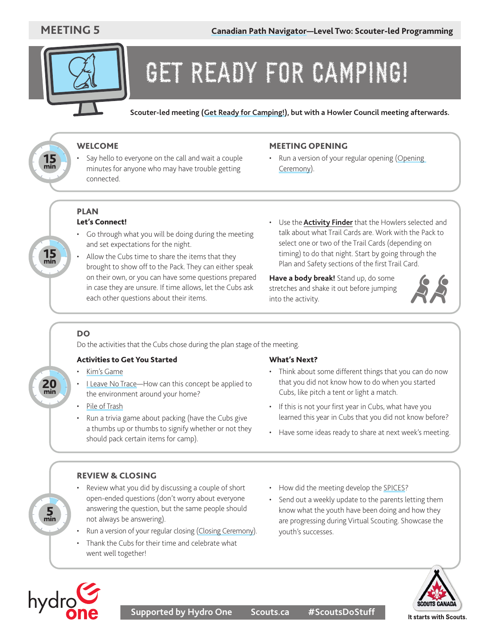

### GET READY FOR CAMPING!

**Scouter-led meeting ([Get Ready for Camping!\)](https://www.scouts.ca/programs/scouting-at-home/get-ready-for-camping.html), but with a Howler Council meeting afterwards.**

#### WELCOME

Say hello to everyone on the call and wait a couple minutes for anyone who may have trouble getting connected.

#### MEETING OPENING

• Run a version of your regular opening ([Opening](https://scoutsca.s3.amazonaws.com/2019/01/scouter-manual.pdf#page=81) [Ceremony](https://scoutsca.s3.amazonaws.com/2019/01/scouter-manual.pdf#page=81)).

#### PLAN Let's Connect!

- Go through what you will be doing during the meeting and set expectations for the night.
- Allow the Cubs time to share the items that they brought to show off to the Pack. They can either speak on their own, or you can have some questions prepared in case they are unsure. If time allows, let the Cubs ask each other questions about their items.
- Use the **[Activity Finder](https://www.scouts.ca/resources/activity-finder.html)** that the Howlers selected and talk about what Trail Cards are. Work with the Pack to select one or two of the Trail Cards (depending on timing) to do that night. Start by going through the Plan and Safety sections of the first Trail Card.

**Have a body break!** Stand up, do some stretches and shake it out before jumping into the activity.



#### DO

 $20$ <sub>min</sub>

 $\frac{5}{2}$ 

 $15$ <sub>min</sub>

**15**<br>min

Do the activities that the Cubs chose during the plan stage of the meeting.

#### Activities to Get You Started

- [Kim's Game](https://www.scouts.ca/resources/activity-finder/activity-finder/kims-game.html)
- [I Leave No Trace—](https://www.scouts.ca/resources/activity-finder/activity-finder/i-leave-no-trace.html)How can this concept be applied to the environment around your home?
- [Pile of Trash](https://www.scouts.ca/resources/activity-finder/pile-of-trash.html)
- Run a trivia game about packing (have the Cubs give a thumbs up or thumbs to signify whether or not they should pack certain items for camp).

#### What's Next?

- Think about some different things that you can do now that you did not know how to do when you started Cubs, like pitch a tent or light a match.
- If this is not your first year in Cubs, what have you learned this year in Cubs that you did not know before?
- Have some ideas ready to share at next week's meeting.

#### REVIEW & CLOSING

- Review what you did by discussing a couple of short open-ended questions (don't worry about everyone answering the question, but the same people should not always be answering).
- Run a version of your regular closing [\(Closing Ceremony\)](https://scoutsca.s3.amazonaws.com/2019/01/scouter-manual.pdf#page=82).
- Thank the Cubs for their time and celebrate what went well together!
- How did the meeting develop the [SPICES](https://www.scouts.ca/programs/canadian-path/about/the-four-elements.html)?
- Send out a weekly update to the parents letting them know what the youth have been doing and how they are progressing during Virtual Scouting. Showcase the youth's successes.



hydrc

**Supported by Hydro One Scouts.ca #ScoutsDoStuff**

It starts with Scouts.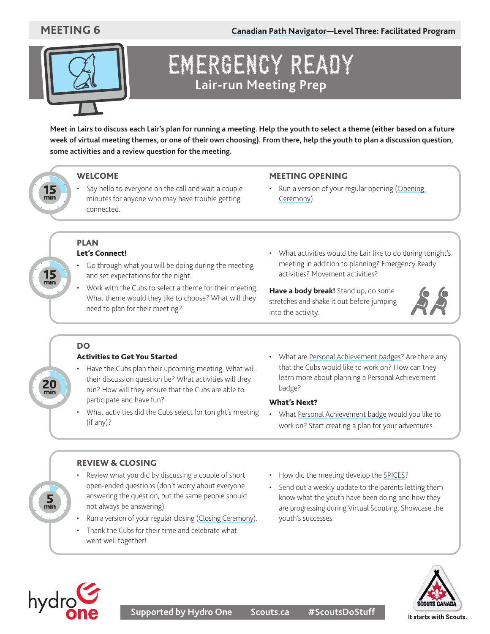**[Canadian Path Navigator](https://www.scouts.ca/resources/program-resources/canadian-path-navigator.html)—Level Three: Facilitated Program**



### EMERGENCY READY **Lair-run Meeting Prep**

**Meet in Lairs to discuss each Lair's plan for running a meeting. Help the youth to select a theme (either based on a future week of virtual meeting themes, or one of their own choosing). From there, help the youth to plan a discussion question, some activities and a review question for the meeting.**



 $15$ <sub>min</sub>

 $20$ <sub>min</sub>

 $\frac{5}{2}$ 

#### WELCOME

Say hello to everyone on the call and wait a couple minutes for anyone who may have trouble getting connected.

#### MEETING OPENING

• Run a version of your regular opening ([Opening](https://scoutsca.s3.amazonaws.com/2019/01/scouter-manual.pdf#page=81) [Ceremony](https://scoutsca.s3.amazonaws.com/2019/01/scouter-manual.pdf#page=81)).

- PLAN Let's Connect!
	- Go through what you will be doing during the meeting and set expectations for the night.
	- Work with the Cubs to select a theme for their meeting. What theme would they like to choose? What will they need to plan for their meeting?
- What activities would the Lair like to do during tonight's meeting in addition to planning? Emergency Ready activities? Movement activities?

**Have a body break!** Stand up, do some stretches and shake it out before jumping into the activity.



#### DO

#### Activities to Get You Started

- Have the Cubs plan their upcoming meeting. What will their discussion question be? What activities will they run? How will they ensure that the Cubs are able to participate and have fun?
- What activities did the Cubs select for tonight's meeting (if any)?
- What are [Personal Achievement badges?](https://scoutsca.s3.amazonaws.com/2019/01/scouter-manual.pdf#page=136) Are there any that the Cubs would like to work on? How can they learn more about planning a Personal Achievement badge?

#### What's Next?

• What [Personal Achievement badge](https://scoutsca.s3.amazonaws.com/2019/01/scouter-manual.pdf#page=136) would you like to work on? Start creating a plan for your adventures.

#### REVIEW & CLOSING

- Review what you did by discussing a couple of short open-ended questions (don't worry about everyone answering the question, but the same people should not always be answering).
- Run a version of your regular closing [\(Closing Ceremony\)](https://scoutsca.s3.amazonaws.com/2019/01/scouter-manual.pdf#page=82).
- Thank the Cubs for their time and celebrate what went well together!
- How did the meeting develop the [SPICES](https://www.scouts.ca/programs/canadian-path/about/the-four-elements.html)?
- Send out a weekly update to the parents letting them know what the youth have been doing and how they are progressing during Virtual Scouting. Showcase the youth's successes.